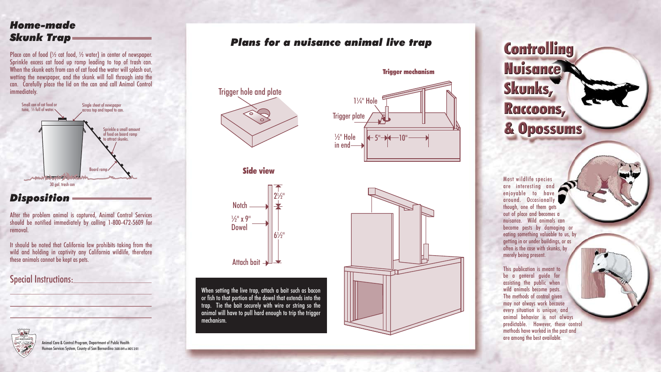Most wildlife species are interesting and enjoyable to have around. Occasionally though, one of them gets out of place and becomes a nuisance. Wild animals can become pests by damaging or eating something valuable to us, by getting in or under buildings, or as often is the case with skunks, by merely being present.

This publication is meant to be a general guide for assisting the public when wild animals become pests. The methods of control given may not always work because every situation is unique, and animal behavior is not always predictable. However, these control methods have worked in the past and are among the best available.

Place can of food  $\frac{1}{2}$  cat food,  $\frac{1}{2}$  water) in center of newspaper. Sprinkle excess cat food up ramp leading to top of trash can. When the skunk eats from can of cat food the water will splash out, wetting the newspaper, and the skunk will fall through into the can. Carefully place the lid on the can and call Animal Control immediately.

### *Home-made Skunk Trap*

## *Disposition*

After the problem animal is captured, Animal Control Services should be notified immediately by calling 1-800-472-5609 for removal.

It should be noted that California law prohibits taking from the wild and holding in captivity any California wildlife, therefore these animals cannot be kept as pets.

#### Special Instructions:



*Plans for a nuisance animal live trap*



# **Controlling Nuisance** Skunks, Raccoons, & Opossums

Animal Care & Control Program, Department of Public Health Human Services System, County of San Bernardino 2600-849.ai MDS 3/01 When setting the live trap, attach a bait such as bacon or fish to that portion of the dowel that extends into the trap. Tie the bait securely with wire or string so the animal will have to pull hard enough to trip the trigger mechanism.





Trigger hole and plate

## Trigger mechanism Trigger plate 1¼" Hole ½" Hole in end 5" 10"